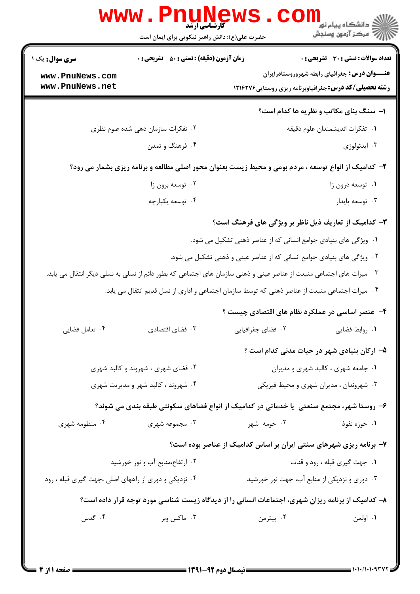| <b>سری سوال :</b> یک ۱                                                         | <b>زمان آزمون (دقیقه) : تستی : 50 ٪ تشریحی : 0</b>                                                                   |                                                                        | <b>تعداد سوالات : تستی : 30 ٪ تشریحی : 0</b>         |  |
|--------------------------------------------------------------------------------|----------------------------------------------------------------------------------------------------------------------|------------------------------------------------------------------------|------------------------------------------------------|--|
| www.PnuNews.com                                                                |                                                                                                                      |                                                                        | <b>عنـــوان درس:</b> جغرافیای رابطه شهروروستادرایران |  |
| www.PnuNews.net                                                                |                                                                                                                      | <b>رشته تحصیلی/کد درس:</b> جغرافیاوبرنامه ریزی روستایی1۲۱۶۲۷۶          |                                                      |  |
|                                                                                |                                                                                                                      |                                                                        | ۱- سنگ بنای مکاتب و نظریه ها کدام است؟               |  |
|                                                                                | ۰۲ تفکرات سازمان دهی شده علوم نظری                                                                                   |                                                                        | ٠١ تفكرات انديشمندان علوم دقيقه                      |  |
|                                                                                | ۰۴ فرهنگ و تمدن                                                                                                      |                                                                        | ۰۳ ايدئولوژي                                         |  |
|                                                                                | ۲- کدامیک از انواع توسعه ، مردم بومی و محیط زیست بعنوان محور اصلی مطالعه و برنامه ریزی بشمار می رود؟                 |                                                                        |                                                      |  |
| ۰۲ توسعه برون زا                                                               |                                                                                                                      |                                                                        | ٠١ توسعه درون زا                                     |  |
|                                                                                | ۰۴ توسعه يکپارچه                                                                                                     |                                                                        | ۰۳ توسعه پايدار                                      |  |
|                                                                                |                                                                                                                      | ۳- کدامیک از تعاریف ذیل ناظر بر ویژگی های فرهنگ است؟                   |                                                      |  |
|                                                                                |                                                                                                                      | ۰۱ ویژگی های بنیادی جوامع انسانی که از عناصر ذهنی تشکیل می شود.        |                                                      |  |
|                                                                                |                                                                                                                      | ۰۲ ویژگی های بنیادی جوامع انسانی که از عناصر عینی و ذهنی تشکیل می شود. |                                                      |  |
|                                                                                | ۰۳ میراث های اجتماعی منبعث از عناصر عینی و ذهنی سازمان های اجتماعی که بطور دائم از نسلی به نسلی دیگر انتقال می یابد. |                                                                        |                                                      |  |
|                                                                                | ۰۴ میراث اجتماعی منبعث از عناصر ذهنی که توسط سازمان اجتماعی و اداری از نسل قدیم انتقال می یابد.                      |                                                                        |                                                      |  |
|                                                                                |                                                                                                                      | ۴- عنصر اساسی در عملکرد نظام های اقتصادی چیست ؟                        |                                                      |  |
| ۰۴ تعامل فضايي                                                                 | ۰۳ فضای اقتصادی                                                                                                      | ۰۲ فضای جغرافیایی                                                      | ۰۱ روابط فضایی                                       |  |
|                                                                                |                                                                                                                      |                                                                        | ۵– ارکان بنیادی شهر در حیات مدنی کدام است ؟          |  |
|                                                                                | ۰۲ فضای شهری ، شهروند و کالبد شهری                                                                                   |                                                                        | ٠١ جامعه شهري ، كالبد شهري و مديران                  |  |
| ۰۴ شهروند ، کالبد شهر و مدیریت شهری<br>۰۳ شهروندان ، مدیران شهری و محیط فیزیکی |                                                                                                                      |                                                                        |                                                      |  |
|                                                                                | ۶– روستا شهر، مجتمع صنعتی ً یا خدماتی در کدامیک از انواع فضاهای سکونتی طبقه بندی می شوند؟                            |                                                                        |                                                      |  |
| ۰۴ منظومه شهری                                                                 | ۰۳ مجموعه شهری                                                                                                       | ۰۲ حومه شهر                                                            | ۰۱ حوزه نفوذ                                         |  |
|                                                                                |                                                                                                                      | ۷- برنامه ریزی شهرهای سنتی ایران بر اساس کدامیک از عناصر بوده است؟     |                                                      |  |
|                                                                                | ۰۲ ارتفاع،منابع آب و نور خورشید                                                                                      | ۰۱ جهت گیری قبله ، رود و قنات                                          |                                                      |  |
| ۰۴ نزدیکی و دوری از راههای اصلی ،جهت گیری قبله ، رود                           |                                                                                                                      | ۰۳ دوری و نزدیکی از منابع آب، جهت نور خورشید                           |                                                      |  |
|                                                                                | ۸– کدامیک از برنامه ریزان شهری، اجتماعات انسانی را از دیدگاه زیست شناسی مورد توجه قرار داده است؟                     |                                                                        |                                                      |  |
| ۰۴ گدس                                                                         | ۰۳ ماکس وبر                                                                                                          | ۰۲ پیترمن                                                              | ۰۱ اولمن                                             |  |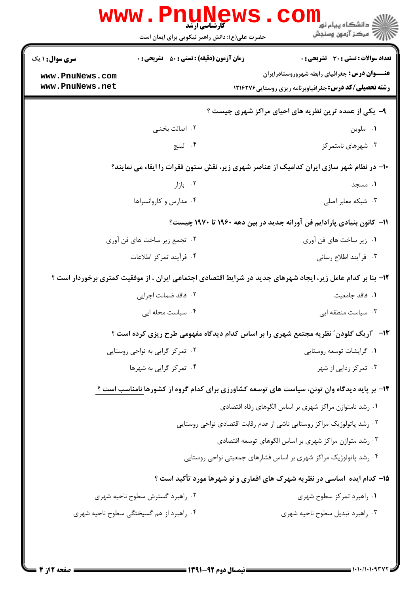|                                                                              | 7' مرڪز آزمون وسنڊش<br>حضرت علی(ع): دانش راهبر نیکویی برای ایمان است                                        |  |  |  |
|------------------------------------------------------------------------------|-------------------------------------------------------------------------------------------------------------|--|--|--|
| <b>زمان آزمون (دقیقه) : تستی : 50 ٪ تشریحی : 0</b><br><b>سری سوال :</b> ۱ یک | تعداد سوالات : تستى : 30 - تشريحي : 0                                                                       |  |  |  |
| www.PnuNews.com                                                              | <b>عنـــوان درس:</b> جغرافیای رابطه شهروروستادرایران                                                        |  |  |  |
| www.PnuNews.net                                                              | <b>رشته تحصیلی/کد درس:</b> جغرافیاوبرنامه ریزی روستایی ۱۲۱۶۲۷۶                                              |  |  |  |
|                                                                              | ۹- یکی از عمده ترین نظریه های احیای مراکز شهری چیست ؟                                                       |  |  |  |
| ۰۲ اصالت بخشی                                                                | ۰۱ ملوين                                                                                                    |  |  |  |
| ۰۴ لينچ                                                                      | ۰۳ شهرهای نامتمرکز                                                                                          |  |  |  |
|                                                                              | ∙۱- در نظام شهر سازی ایران کدامیک از عناصر شهری زیر، نقش ستون فقرات را ایفاء می نمایند؟                     |  |  |  |
| ۰۲ بازار                                                                     | ۰۱ مسجد                                                                                                     |  |  |  |
| ۰۴ مدارس و کاروانسراها                                                       | ۰۳ شبکه معابر اصلی                                                                                          |  |  |  |
| 11−  کانون بنیادی پارادایم فن آورانه جدید در بین دهه ۱۹۶۰ تا ۱۹۷۰ چیست؟      |                                                                                                             |  |  |  |
| ۰۲ تجمع زیر ساخت های فن آوری                                                 | ٠١. زير ساخت هاي فن آوري                                                                                    |  |  |  |
| ۰۴ فرآیند تمرکز اطلاعات                                                      | ۰۳ فرأيند اطلاع رساني                                                                                       |  |  |  |
|                                                                              | ۱۲- بنا بر کدام عامل زیر، ایجاد شهرهای جدید در شرایط اقتصادی اجتماعی ایران ، از موفقیت کمتری برخوردار است ؟ |  |  |  |
| ٢ . فاقد ضمانت اجرايي                                                        | ٠١. فاقد جامعيت                                                                                             |  |  |  |
| ۰۴ سیاست محله ایی                                                            | ۰۳ سیاست منطقه ایی                                                                                          |  |  |  |
|                                                                              | ۱۳- ″اریگ گلودن″ نظریه مجتمع شهری را بر اساس کدام دیدگاه مفهومی طرح ریزی کرده است ؟                         |  |  |  |
| ۰۲ تمرکز گرایی به نواحی روستایی                                              | ۰۱ گرایشات توسعه روستایی                                                                                    |  |  |  |
| ۰۴ تمرکز گرایی به شهرها                                                      | ۰۳ تمرکز زدایی از شهر                                                                                       |  |  |  |
|                                                                              | ۱۴- بر پایه دیدگاه وان تونن، سیاست های توسعه کشاورزی برای کدام گروه از کشورها نامناسب است ؟                 |  |  |  |
|                                                                              | ٠١ رشد نامتوازن مراكز شهري بر اساس الگوهاي رفاه اقتصادي                                                     |  |  |  |
|                                                                              | ۰۲ رشد پاتولوژیک مراکز روستایی ناشی از عدم رقابت اقتصادی نواحی روستایی                                      |  |  |  |
|                                                                              | ۰۳ رشد متوازن مراکز شهری بر اساس الگوهای توسعه اقتصادی                                                      |  |  |  |
|                                                                              | ۰۴ رشد پاتولوژیک مراکز شهری بر اساس فشارهای جمعیتی نواحی روستایی                                            |  |  |  |
|                                                                              | ۱۵– کدام ایده آساسی در نظریه شهرک های اقماری و نو شهرها مورد تأکید است ؟                                    |  |  |  |
| ۰۲ راهبرد گسترش سطوح ناحیه شهری                                              | ٠١. راهبرد تمركز سطوح شهرى                                                                                  |  |  |  |
| ۰۴ راهبرد از هم گسیختگی سطوح ناحیه شهری                                      | ۰۳ راهبرد تبديل سطوح ناحيه شهرى                                                                             |  |  |  |
|                                                                              |                                                                                                             |  |  |  |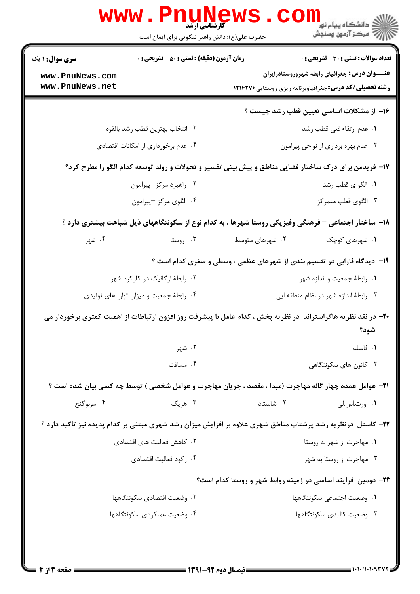| تعداد سوالات : تستي : 30 ٪ تشريحي : 0                                                                         | <b>زمان آزمون (دقیقه) : تستی : 50 ٪ تشریحی : 0</b><br><b>سری سوال :</b> ۱ یک |                                 |  |
|---------------------------------------------------------------------------------------------------------------|------------------------------------------------------------------------------|---------------------------------|--|
| <b>عنــــوان درس :</b> جغرافیای رابطه شهروروستادرایران                                                        |                                                                              | www.PnuNews.com                 |  |
| <b>رشته تحصیلی/کد درس:</b> جغرافیاوبرنامه ریزی روستایی1۲۱۶۲۷۶                                                 |                                                                              | www.PnuNews.net                 |  |
| ۱۶– از مشکلات اساسی تعیین قطب رشد چیست ؟                                                                      |                                                                              |                                 |  |
| ٠١. عدم ارتقاء فني قطب رشد                                                                                    |                                                                              | ٢. انتخاب بهترين قطب رشد بالقوه |  |
| ۰۳ عدم بهره برداري از نواحي پيرامون                                                                           | ۰۴ عدم برخورداری از امکانات اقتصادی                                          |                                 |  |
| ۱۷- فریدمن برای درک ساختار فضایی مناطق و پیش بینی تفسیر و تحولات و روند توسعه کدام الگو را مطرح کرد؟          |                                                                              |                                 |  |
| ٠١. الگو ي قطب رشد                                                                                            | ۰۲ راهبرد مرکز- پیرامون                                                      |                                 |  |
| ۰۳ الگوی قطب متمر کز                                                                                          | ۰۴ الگوی مرکز –پیرامون                                                       |                                 |  |
| ۱۸– ساختار اجتماعی – فرهنگی وفیزیکی روستا شهرها ، به کدام نوع از سکونتگاههای ذیل شباهت بیشتری دارد ؟          |                                                                              |                                 |  |
| ۰۱ شهرهای کوچک<br>۰۲ شهرهای متوسط                                                                             | ۰۳ روستا                                                                     | ۰۴ شهر                          |  |
| ۱۹- دیدگاه فارابی در تقسیم بندی از شهرهای عظمی ، وسطی و صغری کدام است ؟                                       |                                                                              |                                 |  |
| ۰۱ رابطهٔ جمعیت و اندازه شهر                                                                                  |                                                                              | ۰۲ رابطهٔ ارگانیک در کارکرد شهر |  |
| ۰۳ رابطهٔ اندازه شهر در نظام منطقه ایی                                                                        | ۰۴ رابطهٔ جمعیت و میزان توان های تولیدی                                      |                                 |  |
| +۲- در نقد نظریه هاگراستراند در نظریه پخش ، کدام عامل با پیشرفت روز افزون ارتباطات از اهمیت کمتری برخوردار می |                                                                              |                                 |  |
| شود؟                                                                                                          |                                                                              |                                 |  |
| ٠١ فاصله                                                                                                      | ۰۲ شهر                                                                       |                                 |  |
| ۰۳ کانون های سکونتگاهی                                                                                        | ۰۴ مسافت                                                                     |                                 |  |
| <b>۲۱</b> – عوامل عمده چهار گانه مهاجرت (مبدا ، مقصد ، جریان مهاجرت و عوامل شخصی ) توسط چه کسی بیان شده است ؟ |                                                                              |                                 |  |
| ۰۲ شاستاد<br>۰۱ اورت.اس.لي                                                                                    | ۰۳ هريک                                                                      | ۰۴ موبوگنج                      |  |
| ۲۲- کاستل درنظریه رشد پرشتاب مناطق شهری علاوه بر افزایش میزان رشد شهری مبتنی بر کدام پدیده نیز تاکید دارد ؟   |                                                                              |                                 |  |
| ۰۱ مهاجرت از شهر به روستا                                                                                     | ۰۲ کاهش فعالیت های اقتصادی                                                   |                                 |  |
| ۰۳ مهاجرت از روستا به شهر                                                                                     | ۰۴ رکود فعالیت اقتصادی                                                       |                                 |  |
| ۲۳- دومین ًفرایند اساسی در زمینه روابط شهر و روستا کدام است؟                                                  |                                                                              |                                 |  |
| ٠١. وضعيت اجتماعي سكونتگاهها                                                                                  | ٠٢ وضعيت اقتصادي سكونتگاهها                                                  |                                 |  |
| ۰۳ وضعیت کالبدی سکونتگاهها                                                                                    | ۰۴ وضعیت عملکردی سکونتگاهها                                                  |                                 |  |